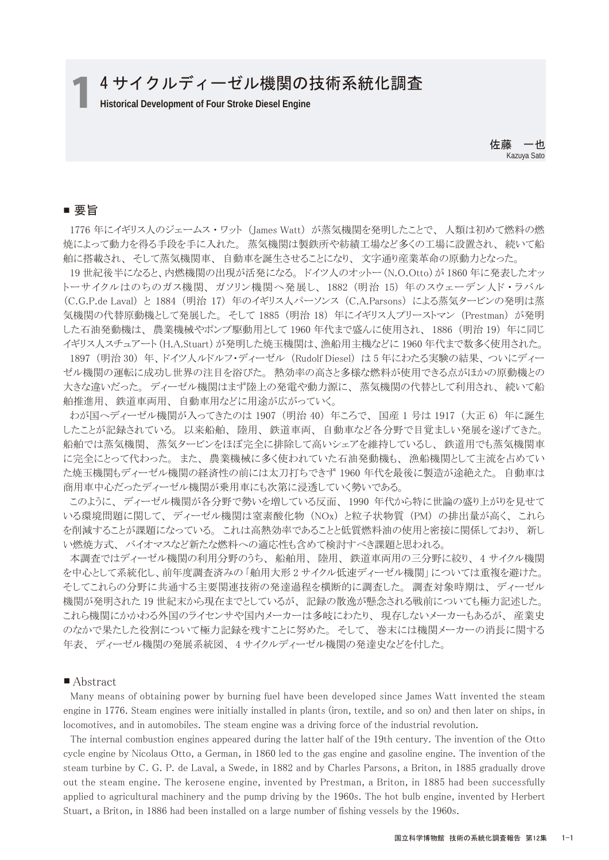# 1 4 サイクルディーゼル機関の技術系統化調査

佐藤 一也 Kazuya Sato

## ■ 要旨

1776 年にイギリス人のジェームス・ワット (James Watt) が蒸気機関を発明したことで、人類は初めて燃料の燃 焼によって動力を得る手段を手に入れた。 蒸気機関は製鉄所や紡績工場など多くの工場に設置され、 続いて船 舶に搭載され、 そして蒸気機関車、 自動車を誕生させることになり、 文字通り産業革命の原動力となった。

 19 世紀後半になると、内燃機関の出現が活発になる。 ドイツ人のオットー(N.O.Otto)が 1860 年に発表したオッ トーサイクルはのちのガス機関、ガソリン機関へ発展し、1882 (明治 15) 年のスウェーデン人ド・ラバル (C.G.P.de Laval) と 1884 (明治 17) 年のイギリス人パーソンス (C.A.Parsons) による蒸気タービンの発明は蒸 気機関の代替原動機として発展した。 そして 1885 (明治 18) 年にイギリス人プリーストマン (Prestman) が発明 した石油発動機は、 農業機械やポンプ駆動用として 1960 年代まで盛んに使用され、 1886 (明治 19) 年に同じ イギリス人スチュアート (H.A.Stuart) が発明した焼玉機関は、漁船用主機などに 1960 年代まで数多く使用された。

 1897 (明治 30) 年、 ドイツ人ルドルフ・ディーゼル (Rudolf Diesel) は 5 年にわたる実験の結果、 ついにディー ゼル機関の運転に成功し世界の注目を浴びた。 熱効率の高さと多様な燃料が使用できる点がほかの原動機との 大きな違いだった。 ディーゼル機関はまず陸上の発電や動力源に、 蒸気機関の代替として利用され、 続いて船 舶推進用、 鉄道車両用、 自動車用などに用途が広がっていく。

 わが国へディーゼル機関が入ってきたのは 1907 (明治 40) 年ころで、 国産 1 号は 1917 (大正 6) 年に誕生 したことが記録されている。 以来船舶、 陸用、 鉄道車両、 自動車など各分野で目覚ましい発展を遂げてきた。 船舶では蒸気機関、 蒸気タービンをほぼ完全に排除して高いシェアを維持しているし、 鉄道用でも蒸気機関車 に完全にとって代わった。 また、 農業機械に多く使われていた石油発動機も、 漁船機関として主流を占めてい た焼玉機関もディーゼル機関の経済性の前には太刀打ちできず 1960 年代を最後に製造が途絶えた。 自動車は 商用車中心だったディーゼル機関が乗用車にも次第に浸透していく勢いである。

 このように、 ディーゼル機関が各分野で勢いを増している反面、 1990 年代から特に世論の盛り上がりを見せて いる環境問題に関して、 ディーゼル機関は窒素酸化物 (NOx) と粒子状物質 (PM) の排出量が高く、 これら を削減することが課題になっている。 これは高熱効率であることと低質燃料油の使用と密接に関係しており、 新し い燃焼方式、 バイオマスなど新たな燃料への適応性も含めて検討すべき課題と思われる。

 本調査ではディーゼル機関の利用分野のうち、 船舶用、 陸用、 鉄道車両用の三分野に絞り、 4 サイクル機関 を中心として系統化し、前年度調査済みの 「舶用大形 2 サイクル低速ディーゼル機関」 については重複を避けた。 そしてこれらの分野に共通する主要関連技術の発達過程を横断的に調査した。 調査対象時期は、 ディーゼル 機関が発明された 19 世紀末から現在までとしているが、 記録の散逸が懸念される戦前についても極力記述した。 これら機関にかかわる外国のライセンサや国内メーカーは多岐にわたり、 現存しないメーカーもあるが、 産業史 のなかで果たした役割について極力記録を残すことに努めた。 そして、 巻末には機関メーカーの消長に関する 年表、 ディーゼル機関の発展系統図、 4 サイクルディーゼル機関の発達史などを付した。

#### ■ Abstract

 Many means of obtaining power by burning fuel have been developed since James Watt invented the steam engine in 1776. Steam engines were initially installed in plants (iron, textile, and so on) and then later on ships, in locomotives, and in automobiles. The steam engine was a driving force of the industrial revolution.

 The internal combustion engines appeared during the latter half of the 19th century. The invention of the Otto cycle engine by Nicolaus Otto, a German, in 1860 led to the gas engine and gasoline engine. The invention of the steam turbine by C. G. P. de Laval, a Swede, in 1882 and by Charles Parsons, a Briton, in 1885 gradually drove out the steam engine. The kerosene engine, invented by Prestman, a Briton, in 1885 had been successfully applied to agricultural machinery and the pump driving by the 1960s. The hot bulb engine, invented by Herbert Stuart, a Briton, in 1886 had been installed on a large number of fishing vessels by the 1960s.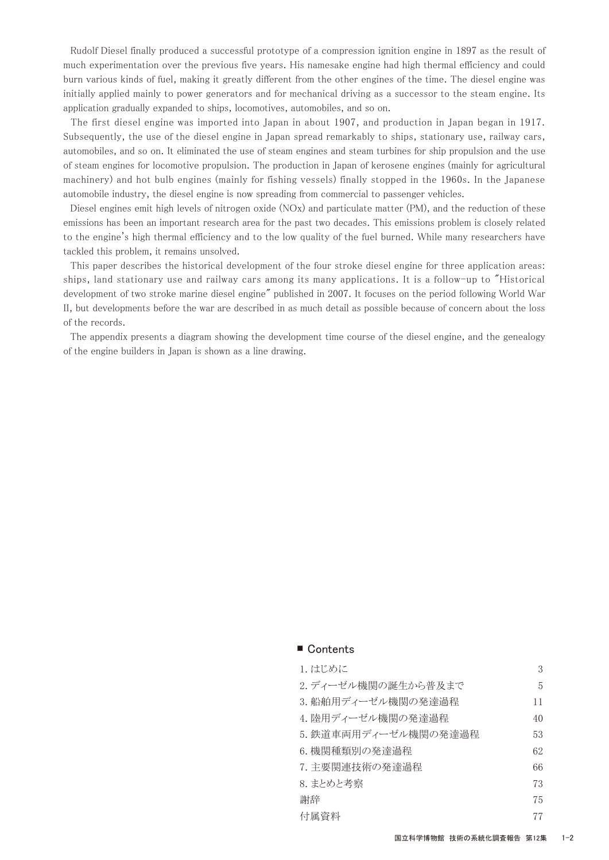Rudolf Diesel finally produced a successful prototype of a compression ignition engine in 1897 as the result of much experimentation over the previous five years. His namesake engine had high thermal efficiency and could burn various kinds of fuel, making it greatly different from the other engines of the time. The diesel engine was initially applied mainly to power generators and for mechanical driving as a successor to the steam engine. Its application gradually expanded to ships, locomotives, automobiles, and so on.

 The first diesel engine was imported into Japan in about 1907, and production in Japan began in 1917. Subsequently, the use of the diesel engine in Japan spread remarkably to ships, stationary use, railway cars, automobiles, and so on. It eliminated the use of steam engines and steam turbines for ship propulsion and the use of steam engines for locomotive propulsion. The production in Japan of kerosene engines (mainly for agricultural machinery) and hot bulb engines (mainly for fishing vessels) finally stopped in the 1960s. In the Japanese automobile industry, the diesel engine is now spreading from commercial to passenger vehicles.

 Diesel engines emit high levels of nitrogen oxide (NOx) and particulate matter (PM), and the reduction of these emissions has been an important research area for the past two decades. This emissions problem is closely related to the engine's high thermal efficiency and to the low quality of the fuel burned. While many researchers have tackled this problem, it remains unsolved.

 This paper describes the historical development of the four stroke diesel engine for three application areas: ships, land stationary use and railway cars among its many applications. It is a follow-up to "Historical development of two stroke marine diesel engine" published in 2007. It focuses on the period following World War II, but developments before the war are described in as much detail as possible because of concern about the loss of the records.

 The appendix presents a diagram showing the development time course of the diesel engine, and the genealogy of the engine builders in Japan is shown as a line drawing.

| 1. はじめに              | 3  |
|----------------------|----|
| 2. ディーゼル機関の誕生から普及まで  | 5  |
| 3. 船舶用ディーゼル機関の発達過程   | 11 |
| 4. 陸用ディーゼル機関の発達過程    | 40 |
| 5. 鉄道車両用ディーゼル機関の発達過程 | 53 |
| 6. 機関種類別の発達過程        | 62 |
| 7. 主要関連技術の発達過程       | 66 |
| 8. まとめと考察            | 73 |
| 謝辞                   | 75 |
| 付属資料                 | 77 |
|                      |    |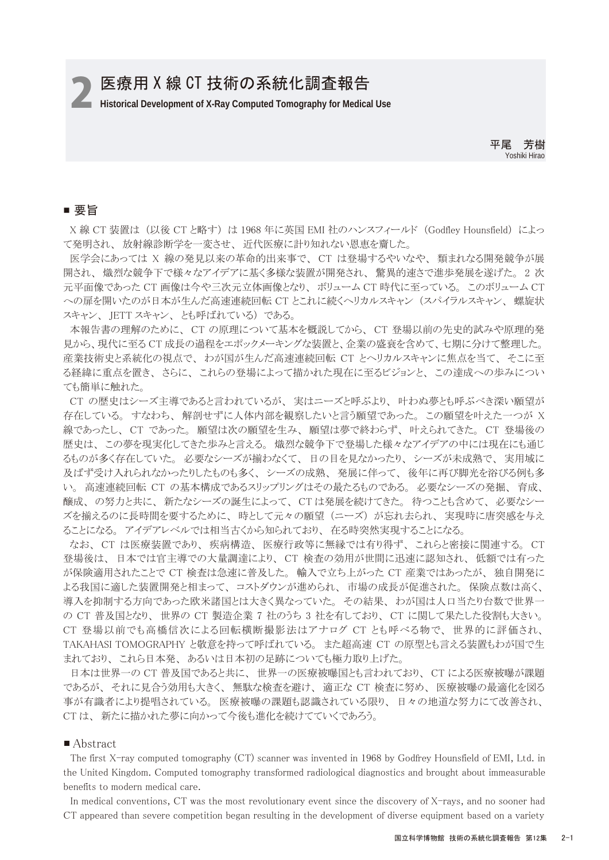2 **Historical Development of X-Ray Computed Tomography for Medical Use**

平尾 芳樹 Yoshiki Hirao

## ■ 要旨

 X 線 CT 装置は (以後 CT と略す) は 1968 年に英国 EMI 社のハンスフィールド (Godfley Hounsfield) によっ て発明され、 放射線診断学を一変させ、 近代医療に計り知れない恩恵を齎した。

 医学会にあっては X 線の発見以来の革命的出来事で、 CT は登場するやいなや、 類まれなる開発競争が展 開され、 熾烈な競争下で様々なアイデアに基く多様な装置が開発され、 驚異的速さで進歩発展を遂げた。 2 次 元平面像であった CT 画像は今や三次元立体画像となり、 ボリューム CT 時代に至っている。 このボリューム CT への扉を開いたのが日本が生んだ高速連続回転 CT とこれに続くヘリカルスキャン (スパイラルスキャン、 螺旋状 スキャン、 JETT スキャン、 とも呼ばれている) である。

 本報告書の理解のために、 CT の原理について基本を概説してから、 CT 登場以前の先史的試みや原理的発 見から、現代に至る CT 成長の過程をエポックメーキングな装置と、企業の盛衰を含めて、七期に分けて整理した。 産業技術史と系統化の視点で、 わが国が生んだ高速連続回転 CT とヘリカルスキャンに焦点を当て、 そこに至 る経緯に重点を置き、 さらに、 これらの登場によって描かれた現在に至るビジョンと、 この達成への歩みについ ても簡単に触れた。

 CT の歴史はシーズ主導であると言われているが、 実はニーズと呼ぶより、 叶わぬ夢とも呼ぶべき深い願望が 存在している。 すなわち、 解剖せずに人体内部を観察したいと言う願望であった。 この願望を叶えた一つが X 線であったし、 CT であった。 願望は次の願望を生み、 願望は夢で終わらず、 叶えられてきた。 CT 登場後の 歴史は、 この夢を現実化してきた歩みと言える。 熾烈な競争下で登場した様々なアイデアの中には現在にも通じ るものが多く存在していた。 必要なシーズが揃わなくて、 日の目を見なかったり、 シーズが未成熟で、 実用域に 及ばず受け入れられなかったりしたものも多く、 シーズの成熟、 発展に伴って、 後年に再び脚光を浴びる例も多 い。 高速連続回転 CT の基本構成であるスリップリングはその最たるものである。 必要なシーズの発掘、 育成、 醸成、 の努力と共に、 新たなシーズの誕生によって、 CT は発展を続けてきた。 待つことも含めて、 必要なシー ズを揃えるのに長時間を要するために、 時として元々の願望 (ニーズ) が忘れ去られ、 実現時に唐突感を与え ることになる。 アイデアレベルでは相当古くから知られており、 在る時突然実現することになる。

 なお、 CT は医療装置であり、 疾病構造、 医療行政等に無縁では有り得ず、 これらと密接に関連する。 CT 登場後は、 日本では官主導での大量調達により、 CT 検査の効用が世間に迅速に認知され、 低額では有った が保険適用されたことで CT 検査は急速に普及した。 輸入で立ち上がった CT 産業ではあったが、 独自開発に よる我国に適した装置開発と相まって、 コストダウンが進められ、 市場の成長が促進された。 保険点数は高く、 導入を抑制する方向であった欧米諸国とは大きく異なっていた。 その結果、 わが国は人口当たり台数で世界一 の CT 普及国となり、 世界の CT 製造企業 7 社のうち 3 社を有しており、 CT に関して果たした役割も大きい。 CT 登場以前でも高橋信次による回転横断撮影法はアナログ CT とも呼べる物で、 世界的に評価され、 TAKAHASI TOMOGRAPHY と敬意を持って呼ばれている。 また超高速 CT の原型とも言える装置もわが国で生 まれており、 これら日本発、 あるいは日本初の足跡についても極力取り上げた。

 日本は世界一の CT 普及国であると共に、 世界一の医療被曝国とも言われており、 CT による医療被曝が課題 であるが、 それに見合う効用も大きく、 無駄な検査を避け、 適正な CT 検査に努め、 医療被曝の最適化を図る 事が有識者により提唱されている。 医療被曝の課題も認識されている限り、 日々の地道な努力にて改善され、 CT は、 新たに描かれた夢に向かって今後も進化を続けてていくであろう。

#### ■ Abstract

 The first X-ray computed tomography (CT) scanner was invented in 1968 by Godfrey Hounsfield of EMI, Ltd. in the United Kingdom. Computed tomography transformed radiological diagnostics and brought about immeasurable benefits to modern medical care.

 In medical conventions, CT was the most revolutionary event since the discovery of X-rays, and no sooner had CT appeared than severe competition began resulting in the development of diverse equipment based on a variety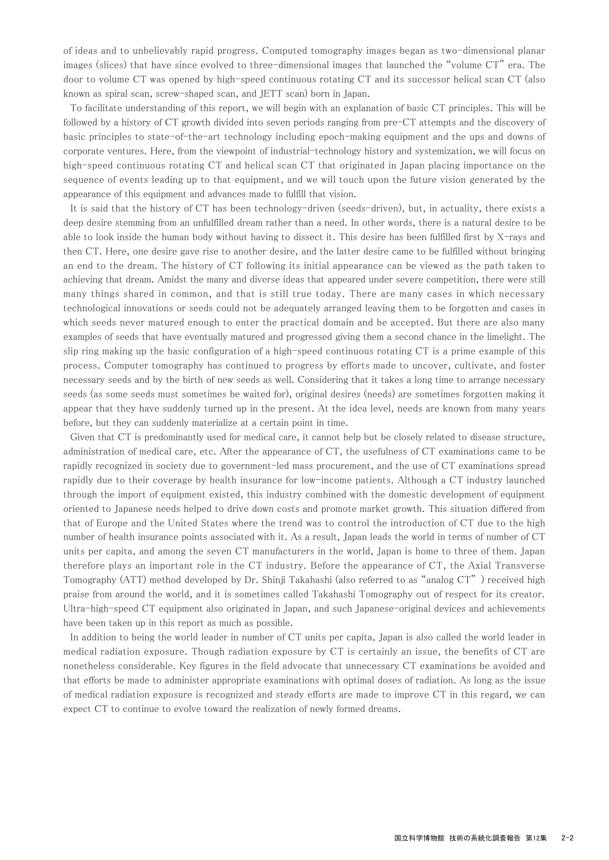of ideas and to unbelievably rapid progress. Computed tomography images began as two-dimensional planar images (slices) that have since evolved to three-dimensional images that launched the "volume CT" era. The door to volume CT was opened by high-speed continuous rotating CT and its successor helical scan CT (also known as spiral scan, screw-shaped scan, and JETT scan) born in Japan.

 To facilitate understanding of this report, we will begin with an explanation of basic CT principles. This will be followed by a history of CT growth divided into seven periods ranging from pre-CT attempts and the discovery of basic principles to state-of-the-art technology including epoch-making equipment and the ups and downs of corporate ventures. Here, from the viewpoint of industrial-technology history and systemization, we will focus on high-speed continuous rotating CT and helical scan CT that originated in Japan placing importance on the sequence of events leading up to that equipment, and we will touch upon the future vision generated by the appearance of this equipment and advances made to fulfill that vision.

 It is said that the history of CT has been technology-driven (seeds-driven), but, in actuality, there exists a deep desire stemming from an unfulfilled dream rather than a need. In other words, there is a natural desire to be able to look inside the human body without having to dissect it. This desire has been fulfilled first by X-rays and then CT. Here, one desire gave rise to another desire, and the latter desire came to be fulfilled without bringing an end to the dream. The history of CT following its initial appearance can be viewed as the path taken to achieving that dream. Amidst the many and diverse ideas that appeared under severe competition, there were still many things shared in common, and that is still true today. There are many cases in which necessary technological innovations or seeds could not be adequately arranged leaving them to be forgotten and cases in which seeds never matured enough to enter the practical domain and be accepted. But there are also many examples of seeds that have eventually matured and progressed giving them a second chance in the limelight. The slip ring making up the basic configuration of a high-speed continuous rotating CT is a prime example of this process. Computer tomography has continued to progress by efforts made to uncover, cultivate, and foster necessary seeds and by the birth of new seeds as well. Considering that it takes a long time to arrange necessary seeds (as some seeds must sometimes be waited for), original desires (needs) are sometimes forgotten making it appear that they have suddenly turned up in the present. At the idea level, needs are known from many years before, but they can suddenly materialize at a certain point in time.

 Given that CT is predominantly used for medical care, it cannot help but be closely related to disease structure, administration of medical care, etc. After the appearance of CT, the usefulness of CT examinations came to be rapidly recognized in society due to government-led mass procurement, and the use of CT examinations spread rapidly due to their coverage by health insurance for low-income patients. Although a CT industry launched through the import of equipment existed, this industry combined with the domestic development of equipment oriented to Japanese needs helped to drive down costs and promote market growth. This situation differed from that of Europe and the United States where the trend was to control the introduction of CT due to the high number of health insurance points associated with it. As a result, Japan leads the world in terms of number of CT units per capita, and among the seven CT manufacturers in the world, Japan is home to three of them. Japan therefore plays an important role in the CT industry. Before the appearance of CT, the Axial Transverse Tomography (ATT) method developed by Dr. Shinji Takahashi (also referred to as "analog CT" ) received high praise from around the world, and it is sometimes called Takahashi Tomography out of respect for its creator. Ultra-high-speed CT equipment also originated in Japan, and such Japanese-original devices and achievements have been taken up in this report as much as possible.

 In addition to being the world leader in number of CT units per capita, Japan is also called the world leader in medical radiation exposure. Though radiation exposure by CT is certainly an issue, the benefits of CT are nonetheless considerable. Key figures in the field advocate that unnecessary CT examinations be avoided and that efforts be made to administer appropriate examinations with optimal doses of radiation. As long as the issue of medical radiation exposure is recognized and steady efforts are made to improve CT in this regard, we can expect CT to continue to evolve toward the realization of newly formed dreams.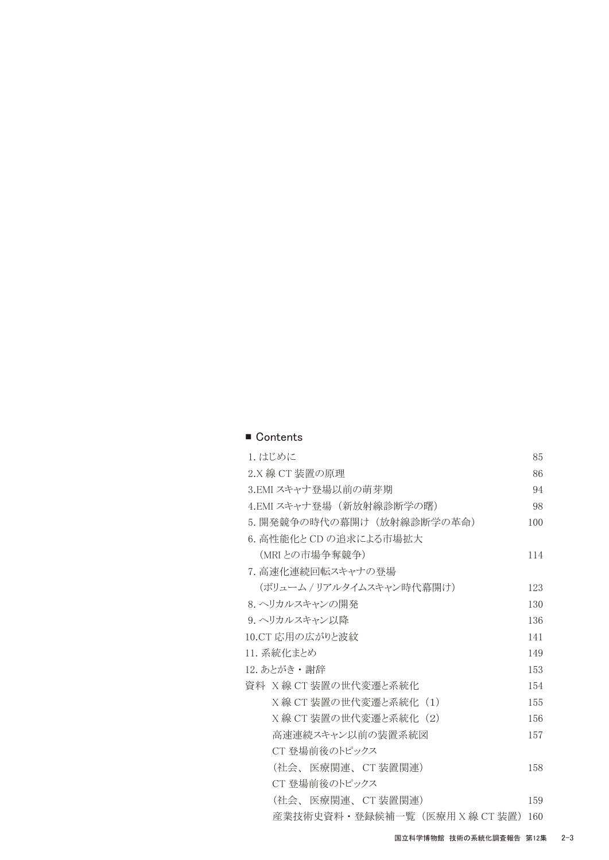| 1. はじめに                       | 85  |
|-------------------------------|-----|
| 2.X 線 CT 装置の原理                | 86  |
| 3.EMI スキャナ登場以前の萌芽期            | 94  |
| 4.EMI スキャナ登場(新放射線診断学の曙)       | 98  |
| 5. 開発競争の時代の幕開け (放射線診断学の革命)    | 100 |
| 6. 高性能化と CD の追求による市場拡大        |     |
| (MRIとの市場争奪競争)                 | 114 |
| 7. 高速化連続回転スキャナの登場             |     |
| (ボリューム / リアルタイムスキャン時代幕開け)     | 123 |
| 8. ヘリカルスキャンの開発                | 130 |
| 9. ヘリカルスキャン以降                 | 136 |
| 10.CT 応用の広がりと波紋               | 141 |
| 11. 系統化まとめ                    | 149 |
| 12. あとがき・謝辞                   | 153 |
| 資料 X線 CT装置の世代変遷と系統化           | 154 |
| X線 CT 装置の世代変遷と系統化 (1)         | 155 |
| X線 CT 装置の世代変遷と系統化(2)          | 156 |
| 高速連続スキャン以前の装置系統図              | 157 |
| CT 登場前後のトピックス                 |     |
| (社会、 医療関連、 CT 装置関連)           | 158 |
| CT 登場前後のトピックス                 |     |
| (社会、 医療関連、CT 装置関連)            | 159 |
| 産業技術史資料·登録候補一覧(医療用 X 線 CT 装置) | 160 |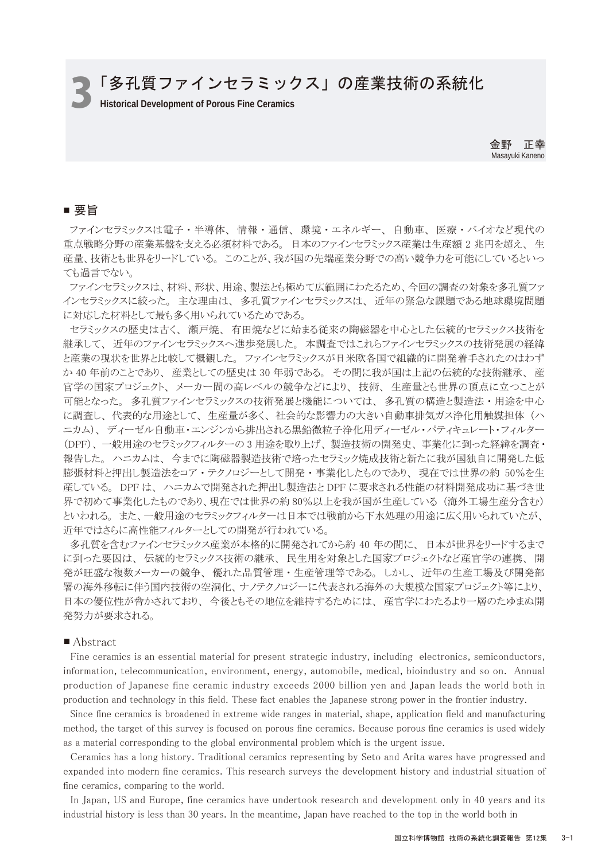# **つ「多孔質ファインセラミックス」の産業技術の系統化**

金野 正幸 Masayuki Kaneno

### ■ 要旨

 ファインセラミックスは電子 ・ 半導体、 情報 ・ 通信、 環境 ・ エネルギー、 自動車、 医療 ・ バイオなど現代の 重点戦略分野の産業基盤を支える必須材料である。 日本のファインセラミックス産業は生産額 2 兆円を超え、 生 産量、技術とも世界をリードしている。 このことが、我が国の先端産業分野での高い競争力を可能にしているといっ ても過言でない。

 ファインセラミックスは、材料、形状、用途、製法とも極めて広範囲にわたるため、今回の調査の対象を多孔質ファ インセラミックスに絞った。 主な理由は、 多孔質ファインセラミックスは、 近年の緊急な課題である地球環境問題 に対応した材料として最も多く用いられているためである。

 セラミックスの歴史は古く、 瀬戸焼、 有田焼などに始まる従来の陶磁器を中心とした伝統的セラミックス技術を 継承して、 近年のファインセラミックスへ進歩発展した。 本調査ではこれらファインセラミックスの技術発展の経緯 と産業の現状を世界と比較して概観した。 ファインセラミックスが日米欧各国で組織的に開発着手されたのはわず か 40 年前のことであり、 産業としての歴史は 30 年弱である。 その間に我が国は上記の伝統的な技術継承、 産 官学の国家プロジェクト、 メーカー間の高レベルの競争などにより、 技術、 生産量とも世界の頂点に立つことが 可能となった。 多孔質ファインセラミックスの技術発展と機能については、 多孔質の構造と製造法 ・ 用途を中心 に調査し、 代表的な用途として、 生産量が多く、 社会的な影響力の大きい自動車排気ガス浄化用触媒担体 (ハ ニカム)、ディーゼル自動車・エンジンから排出される黒鉛微粒子浄化用ディーゼル・パティキュレート・フィルター (DPF)、 一般用途のセラミックフィルターの 3 用途を取り上げ、 製造技術の開発史、 事業化に到った経緯を調査・ 報告した。 ハニカムは、 今までに陶磁器製造技術で培ったセラミック焼成技術と新たに我が国独自に開発した低 膨張材料と押出し製造法をコア ・ テクノロジーとして開発 ・ 事業化したものであり、 現在では世界の約 50%を生 産している。 DPF は、 ハニカムで開発された押出し製造法と DPF に要求される性能の材料開発成功に基づき世 界で初めて事業化したものであり、現在では世界の約 80%以上を我が国が生産している (海外工場生産分含む) といわれる。 また、一般用途のセラミックフィルターは日本では戦前から下水処理の用途に広く用いられていたが、 近年ではさらに高性能フィルターとしての開発が行われている。

 多孔質を含むファインセラミックス産業が本格的に開発されてから約 40 年の間に、 日本が世界をリードするまで に到った要因は、 伝統的セラミックス技術の継承、 民生用を対象とした国家プロジェクトなど産官学の連携、 開 発が旺盛な複数メーカーの競争、 優れた品質管理 ・ 生産管理等である。 しかし、 近年の生産工場及び開発部 署の海外移転に伴う国内技術の空洞化、ナノテクノロジーに代表される海外の大規模な国家プロジェクト等により、 日本の優位性が脅かされており、 今後ともその地位を維持するためには、 産官学にわたるより一層のたゆまぬ開 発努力が要求される。

#### ■ Abstract

 Fine ceramics is an essential material for present strategic industry, including electronics, semiconductors, information, telecommunication, environment, energy, automobile, medical, bioindustry and so on. Annual production of Japanese fine ceramic industry exceeds 2000 billion yen and Japan leads the world both in production and technology in this field. These fact enables the Japanese strong power in the frontier industry.

 Since fine ceramics is broadened in extreme wide ranges in material, shape, application field and manufacturing method, the target of this survey is focused on porous fine ceramics. Because porous fine ceramics is used widely as a material corresponding to the global environmental problem which is the urgent issue.

 Ceramics has a long history. Traditional ceramics representing by Seto and Arita wares have progressed and expanded into modern fine ceramics. This research surveys the development history and industrial situation of fine ceramics, comparing to the world.

 In Japan, US and Europe, fine ceramics have undertook research and development only in 40 years and its industrial history is less than 30 years. In the meantime, Japan have reached to the top in the world both in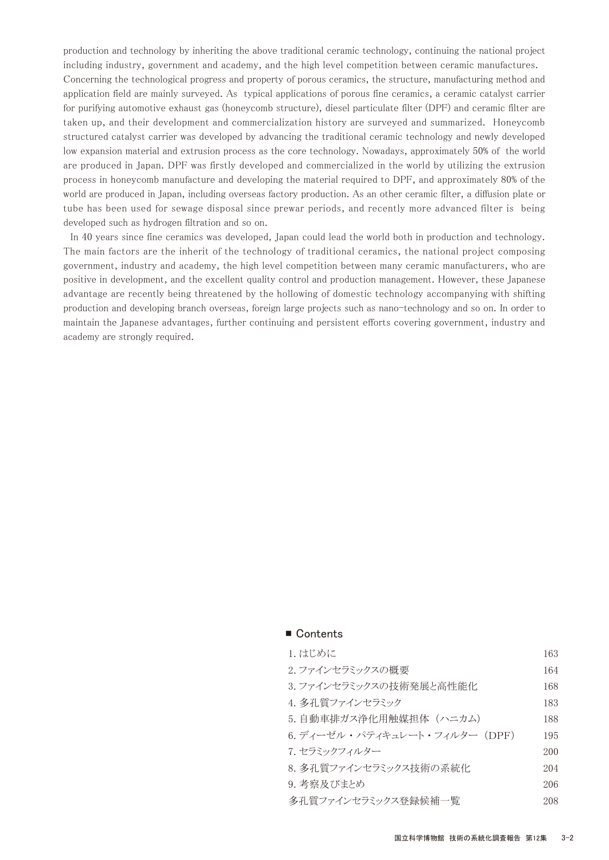production and technology by inheriting the above traditional ceramic technology, continuing the national project including industry, government and academy, and the high level competition between ceramic manufactures. Concerning the technological progress and property of porous ceramics, the structure, manufacturing method and application field are mainly surveyed. As typical applications of porous fine ceramics, a ceramic catalyst carrier for purifying automotive exhaust gas (honeycomb structure), diesel particulate filter (DPF) and ceramic filter are taken up, and their development and commercialization history are surveyed and summarized. Honeycomb structured catalyst carrier was developed by advancing the traditional ceramic technology and newly developed low expansion material and extrusion process as the core technology. Nowadays, approximately 50% of the world are produced in Japan. DPF was firstly developed and commercialized in the world by utilizing the extrusion process in honeycomb manufacture and developing the material required to DPF, and approximately 80% of the world are produced in Japan, including overseas factory production. As an other ceramic filter, a diffusion plate or tube has been used for sewage disposal since prewar periods, and recently more advanced filter is being developed such as hydrogen filtration and so on.

 In 40 years since fine ceramics was developed, Japan could lead the world both in production and technology. The main factors are the inherit of the technology of traditional ceramics, the national project composing government, industry and academy, the high level competition between many ceramic manufacturers, who are positive in development, and the excellent quality control and production management. However, these Japanese advantage are recently being threatened by the hollowing of domestic technology accompanying with shifting production and developing branch overseas, foreign large projects such as nano-technology and so on. In order to maintain the Japanese advantages, further continuing and persistent efforts covering government, industry and academy are strongly required.

| 1. はじめに                       | 163 |
|-------------------------------|-----|
| 2. ファインセラミックスの概要              | 164 |
| 3. ファインセラミックスの技術発展と高性能化       | 168 |
| 4. 多孔質ファインセラミック               | 183 |
| 5. 自動車排ガス浄化用触媒担体(ハニカム)        | 188 |
| 6. ディーゼル・パティキュレート・フィルター (DPF) | 195 |
| 7. セラミックフィルター                 | 200 |
| 8. 多孔質ファインセラミックス技術の系統化        | 204 |
| 9. 考察及びまとめ                    | 206 |
| 多孔質ファインセラミックス登録候補一覧           | 208 |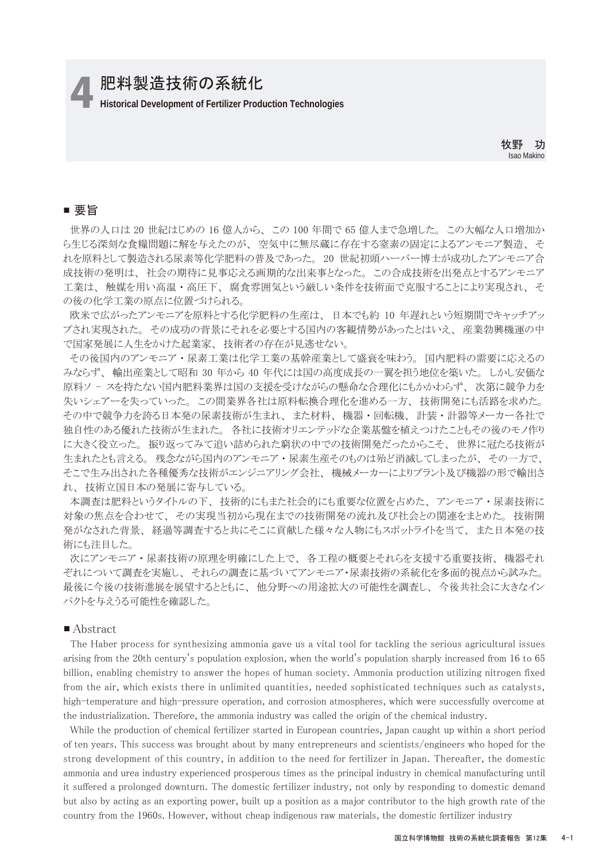# 4 **Historical Development of Fertilizer Production Technologies** 肥料製造技術の系統化

牧野 功 Isao Makino

# ■ 要旨

 世界の人口は 20 世紀はじめの 16 億人から、 この 100 年間で 65 億人まで急増した。 この大幅な人口増加か ら生じる深刻な食糧問題に解を与えたのが、 空気中に無尽蔵に存在する窒素の固定によるアンモニア製造、 そ れを原料として製造される尿素等化学肥料の普及であった。 20 世紀初頭ハーバー博士が成功したアンモニア合 成技術の発明は、 社会の期待に見事応える画期的な出来事となった。 この合成技術を出発点とするアンモニア 工業は、 触媒を用い高温 ・ 高圧下、 腐食雰囲気という厳しい条件を技術面で克服することにより実現され、 そ の後の化学工業の原点に位置づけられる。

欧米で広がったアンモニアを原料とする化学肥料の生産は、日本でも約 10 年遅れという短期間でキャッチアッ プされ実現された。 その成功の背景にそれを必要とする国内の客観情勢があったとはいえ、 産業勃興機運の中 で国家発展に人生をかけた起業家、 技術者の存在が見逃せない。

 その後国内のアンモニア ・ 尿素工業は化学工業の基幹産業として盛衰を味わう。 国内肥料の需要に応えるの みならず、 輸出産業として昭和 30 年から 40 年代には国の高度成長の一翼を担う地位を築いた。 しかし安価な 原料ソ - スを持たない国内肥料業界は国の支援を受けながらの懸命な合理化にもかかわらず、 次第に競争力を 失いシェアーを失っていった。 この間業界各社は原料転換合理化を進める一方、 技術開発にも活路を求めた。 その中で競争力を誇る日本発の尿素技術が生まれ、 また材料、 機器 ・ 回転機、 計装 ・ 計器等メーカー各社で 独自性のある優れた技術が生まれた。 各社に技術オリエンテッドな企業基盤を植えつけたこともその後のモノ作り に大きく役立った。 振り返ってみて追い詰められた窮状の中での技術開発だったからこそ、 世界に冠たる技術が 生まれたとも言える。 残念ながら国内のアンモニア ・ 尿素生産そのものは殆ど消滅してしまったが、 その一方で、 そこで生み出された各種優秀な技術がエンジニアリング会社、 機械メーカーによりプラント及び機器の形で輸出さ れ、 技術立国日本の発展に寄与している。

 本調査は肥料というタイトルの下、 技術的にもまた社会的にも重要な位置を占めた、 アンモニア ・ 尿素技術に 対象の焦点を合わせて、 その実現当初から現在までの技術開発の流れ及び社会との関連をまとめた。 技術開 発がなされた背景、 経過等調査すると共にそこに貢献した様々な人物にもスポットライトを当て、 また日本発の技 術にも注目した。

 次にアンモニア ・ 尿素技術の原理を明確にした上で、 各工程の概要とそれらを支援する重要技術、 機器それ ぞれについて調査を実施し、 それらの調査に基づいてアンモニア・尿素技術の系統化を多面的視点から試みた。 最後に今後の技術進展を展望するとともに、 他分野への用途拡大の可能性を調査し、 今後共社会に大きなイン パクトを与えうる可能性を確認した。

#### ■ Abstract

 The Haber process for synthesizing ammonia gave us a vital tool for tackling the serious agricultural issues arising from the 20th century's population explosion, when the world's population sharply increased from 16 to 65 billion, enabling chemistry to answer the hopes of human society. Ammonia production utilizing nitrogen fixed from the air, which exists there in unlimited quantities, needed sophisticated techniques such as catalysts, high-temperature and high-pressure operation, and corrosion atmospheres, which were successfully overcome at the industrialization. Therefore, the ammonia industry was called the origin of the chemical industry.

 While the production of chemical fertilizer started in European countries, Japan caught up within a short period of ten years. This success was brought about by many entrepreneurs and scientists/engineers who hoped for the strong development of this country, in addition to the need for fertilizer in Japan. Thereafter, the domestic ammonia and urea industry experienced prosperous times as the principal industry in chemical manufacturing until it suffered a prolonged downturn. The domestic fertilizer industry, not only by responding to domestic demand but also by acting as an exporting power, built up a position as a major contributor to the high growth rate of the country from the 1960s. However, without cheap indigenous raw materials, the domestic fertilizer industry